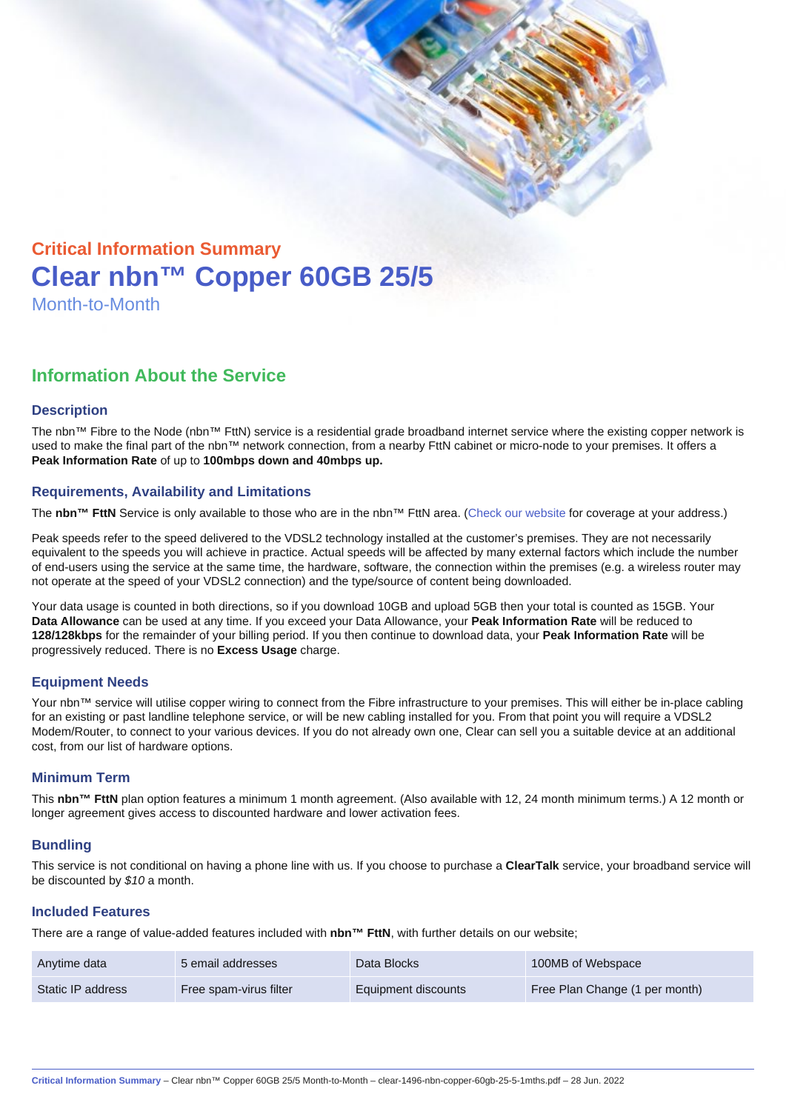# Critical Information Summary Clear nbn™ Copper 60GB 25/5 Month-to-Month

## Information About the Service

#### **Description**

The nbn™ Fibre to the Node (nbn™ FttN) service is a residential grade broadband internet service where the existing copper network is used to make the final part of the nbn™ network connection, from a nearby FttN cabinet or micro-node to your premises. It offers a Peak Information Rate of up to 100mbps down and 40mbps up.

#### Requirements, Availability and Limitations

The nbn™ FttN Service is only available to those who are in the nbn™ FttN area. ([Check our website](https://www.clear.com.au/residential/nbn-fixed/) for coverage at your address.)

Peak speeds refer to the speed delivered to the VDSL2 technology installed at the customer's premises. They are not necessarily equivalent to the speeds you will achieve in practice. Actual speeds will be affected by many external factors which include the number of end-users using the service at the same time, the hardware, software, the connection within the premises (e.g. a wireless router may not operate at the speed of your VDSL2 connection) and the type/source of content being downloaded.

Your data usage is counted in both directions, so if you download 10GB and upload 5GB then your total is counted as 15GB. Your Data Allowance can be used at any time. If you exceed your Data Allowance, your Peak Information Rate will be reduced to 128/128kbps for the remainder of your billing period. If you then continue to download data, your Peak Information Rate will be progressively reduced. There is no Excess Usage charge.

#### Equipment Needs

Your nbn™ service will utilise copper wiring to connect from the Fibre infrastructure to your premises. This will either be in-place cabling for an existing or past landline telephone service, or will be new cabling installed for you. From that point you will require a VDSL2 Modem/Router, to connect to your various devices. If you do not already own one, Clear can sell you a suitable device at an additional cost, from our list of hardware options.

#### Minimum Term

This nbn™ FttN plan option features a minimum 1 month agreement. (Also available with 12, 24 month minimum terms.) A 12 month or longer agreement gives access to discounted hardware and lower activation fees.

#### **Bundling**

This service is not conditional on having a phone line with us. If you choose to purchase a ClearTalk service, your broadband service will be discounted by \$10 a month.

#### Included Features

There are a range of value-added features included with nbn™ FttN , with further details on our website;

| Anytime data      | 5 email addresses      | Data Blocks         | 100MB of Webspace              |
|-------------------|------------------------|---------------------|--------------------------------|
| Static IP address | Free spam-virus filter | Equipment discounts | Free Plan Change (1 per month) |